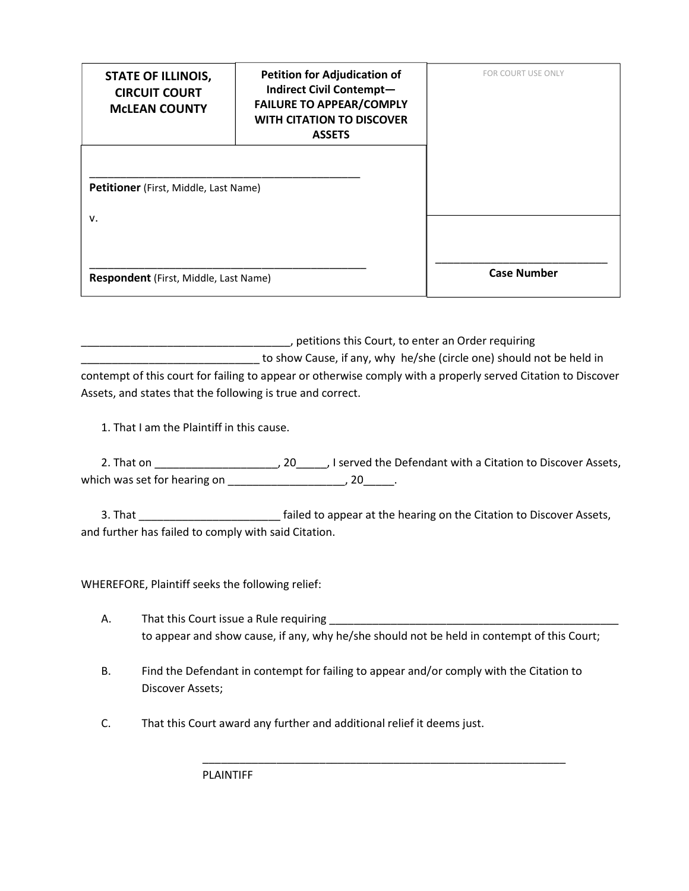| <b>STATE OF ILLINOIS,</b><br><b>CIRCUIT COURT</b><br><b>MCLEAN COUNTY</b> | <b>Petition for Adjudication of</b><br>Indirect Civil Contempt-<br><b>FAILURE TO APPEAR/COMPLY</b><br><b>WITH CITATION TO DISCOVER</b><br><b>ASSETS</b> | FOR COURT USE ONLY |
|---------------------------------------------------------------------------|---------------------------------------------------------------------------------------------------------------------------------------------------------|--------------------|
| Petitioner (First, Middle, Last Name)<br>v.                               |                                                                                                                                                         |                    |
| Respondent (First, Middle, Last Name)                                     |                                                                                                                                                         | <b>Case Number</b> |

\_\_\_\_\_\_\_\_\_\_\_\_\_\_\_\_\_\_\_\_\_\_\_\_\_\_\_\_\_\_\_\_\_\_, petitions this Court, to enter an Order requiring to show Cause, if any, why he/she (circle one) should not be held in contempt of this court for failing to appear or otherwise comply with a properly served Citation to Discover Assets, and states that the following is true and correct.

1. That I am the Plaintiff in this cause.

2. That on \_\_\_\_\_\_\_\_\_\_\_\_\_\_\_\_\_\_\_\_\_\_\_\_, 20\_\_\_\_\_\_, I served the Defendant with a Citation to Discover Assets, which was set for hearing on \_\_\_\_\_\_\_\_\_\_\_\_\_\_\_\_\_\_\_\_\_\_\_, 20\_\_\_\_\_.

3. That \_\_\_\_\_\_\_\_\_\_\_\_\_\_\_\_\_\_\_\_\_\_\_ failed to appear at the hearing on the Citation to Discover Assets, and further has failed to comply with said Citation.

WHEREFORE, Plaintiff seeks the following relief:

- A. That this Court issue a Rule requiring to appear and show cause, if any, why he/she should not be held in contempt of this Court;
- B. Find the Defendant in contempt for failing to appear and/or comply with the Citation to Discover Assets;

\_\_\_\_\_\_\_\_\_\_\_\_\_\_\_\_\_\_\_\_\_\_\_\_\_\_\_\_\_\_\_\_\_\_\_\_\_\_\_\_\_\_\_\_\_\_\_\_\_\_\_\_\_\_\_\_\_\_\_

C. That this Court award any further and additional relief it deems just.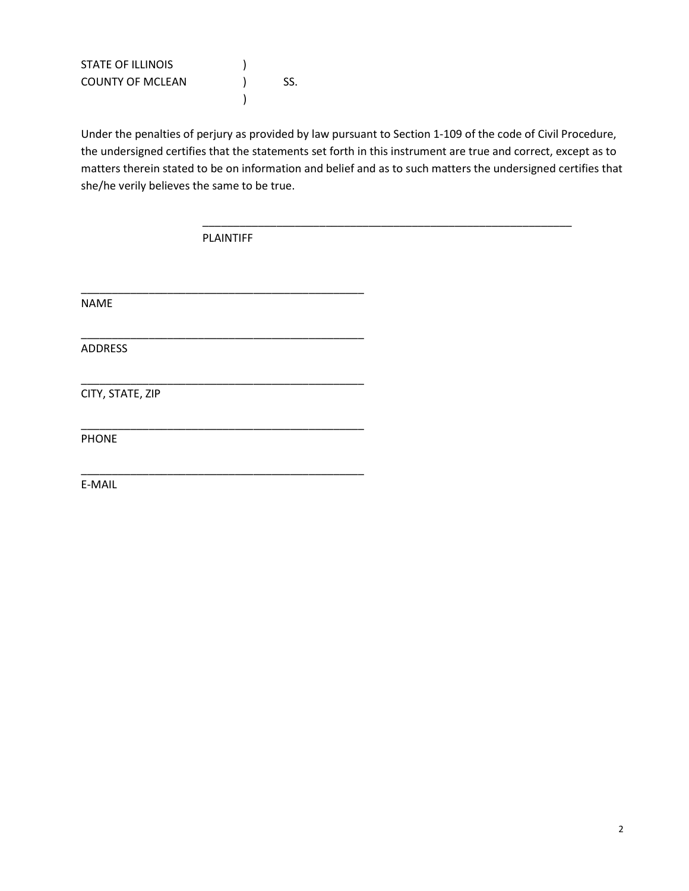| <b>STATE OF ILLINOIS</b> |     |
|--------------------------|-----|
| <b>COUNTY OF MCLEAN</b>  | SS. |
|                          |     |

Under the penalties of perjury as provided by law pursuant to Section 1-109 of the code of Civil Procedure, the undersigned certifies that the statements set forth in this instrument are true and correct, except as to matters therein stated to be on information and belief and as to such matters the undersigned certifies that she/he verily believes the same to be true.

\_\_\_\_\_\_\_\_\_\_\_\_\_\_\_\_\_\_\_\_\_\_\_\_\_\_\_\_\_\_\_\_\_\_\_\_\_\_\_\_\_\_\_\_\_\_\_\_\_\_\_\_\_\_\_\_\_\_\_\_

PLAINTIFF

\_\_\_\_\_\_\_\_\_\_\_\_\_\_\_\_\_\_\_\_\_\_\_\_\_\_\_\_\_\_\_\_\_\_\_\_\_\_\_\_\_\_\_\_\_\_

\_\_\_\_\_\_\_\_\_\_\_\_\_\_\_\_\_\_\_\_\_\_\_\_\_\_\_\_\_\_\_\_\_\_\_\_\_\_\_\_\_\_\_\_\_\_

\_\_\_\_\_\_\_\_\_\_\_\_\_\_\_\_\_\_\_\_\_\_\_\_\_\_\_\_\_\_\_\_\_\_\_\_\_\_\_\_\_\_\_\_\_\_

\_\_\_\_\_\_\_\_\_\_\_\_\_\_\_\_\_\_\_\_\_\_\_\_\_\_\_\_\_\_\_\_\_\_\_\_\_\_\_\_\_\_\_\_\_\_

\_\_\_\_\_\_\_\_\_\_\_\_\_\_\_\_\_\_\_\_\_\_\_\_\_\_\_\_\_\_\_\_\_\_\_\_\_\_\_\_\_\_\_\_\_\_

NAME

ADDRESS

CITY, STATE, ZIP

PHONE

E-MAIL